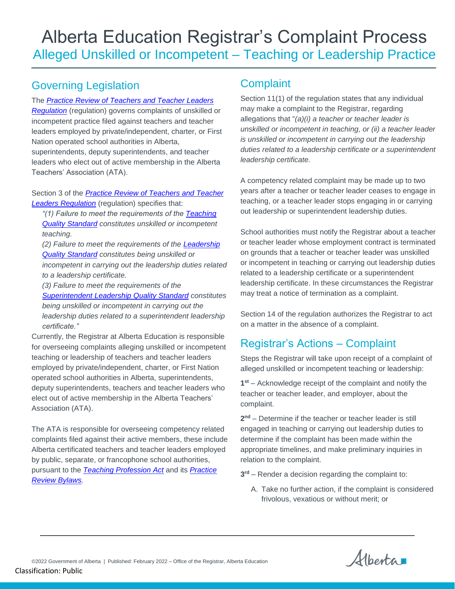# Governing Legislation

### The *[Practice Review of Teachers and Teacher Leaders](file://///Goa/shared/EDC/SE/TLE_TM/___TLE-Sector-Office%20of%20the%20Registrar/Katherine/Legislation%20Policy%20and%20Standards/PRTTLR.pdf)*

*[Regulation](file://///Goa/shared/EDC/SE/TLE_TM/___TLE-Sector-Office%20of%20the%20Registrar/Katherine/Legislation%20Policy%20and%20Standards/PRTTLR.pdf)* (regulation) governs complaints of unskilled or incompetent practice filed against teachers and teacher leaders employed by private/independent, charter, or First Nation operated school authorities in Alberta, superintendents, deputy superintendents, and teacher leaders who elect out of active membership in the Alberta Teachers' Association (ATA).

#### Section 3 of the *[Practice Review of Teachers and Teacher](file://///Goa/shared/EDC/SE/TLE_TM/___TLE-Sector-Office%20of%20the%20Registrar/Katherine/Legislation%20Policy%20and%20Standards/PRTTLR.pdf)  [Leaders Regulation](file://///Goa/shared/EDC/SE/TLE_TM/___TLE-Sector-Office%20of%20the%20Registrar/Katherine/Legislation%20Policy%20and%20Standards/PRTTLR.pdf)* (regulation) specifies that:

*"(1) Failure to meet the requirements of the [Teaching](https://open.alberta.ca/dataset/14d92858-fec0-449b-a9ad-52c05000b4de/resource/afc2aa25-ea83-4d23-a105-d1d45af9ffad/download/edc-teaching-quality-standard-english-2020.pdf)  [Quality Standard](https://open.alberta.ca/dataset/14d92858-fec0-449b-a9ad-52c05000b4de/resource/afc2aa25-ea83-4d23-a105-d1d45af9ffad/download/edc-teaching-quality-standard-english-2020.pdf) constitutes unskilled or incompetent teaching.* 

*(2) Failure to meet the requirements of the [Leadership](https://www.alberta.ca/assets/documents/ed-leadership-quality-standard-english.pdf)  [Quality Standard](https://www.alberta.ca/assets/documents/ed-leadership-quality-standard-english.pdf) constitutes being unskilled or incompetent in carrying out the leadership duties related* 

*to a leadership certificate.* 

*(3) Failure to meet the requirements of the* 

*[Superintendent Leadership Quality Standard](https://www.alberta.ca/assets/documents/ed-superintendent-leadership-quality-standard-english.pdf) constitutes being unskilled or incompetent in carrying out the leadership duties related to a superintendent leadership certificate."*

Currently, the Registrar at Alberta Education is responsible for overseeing complaints alleging unskilled or incompetent teaching or leadership of teachers and teacher leaders employed by private/independent, charter, or First Nation operated school authorities in Alberta, superintendents, deputy superintendents, teachers and teacher leaders who elect out of active membership in the Alberta Teachers' Association (ATA).

The ATA is responsible for overseeing competency related complaints filed against their active members, these include Alberta certificated teachers and teacher leaders employed by public, separate, or francophone school authorities, pursuant to the *[Teaching Profession Act](file://///GOA.ds.gov.ab.ca/SHARED/CPE/SE/TLE_TM/___TLE-Sector-Office%20of%20the%20Registrar/Katherine/Legislation%20Policy%20and%20Standards/Teaching%20Profession%20Act.pdf)* and its *[Practice](https://www.teachers.ab.ca/TheTeachingProfession/UpholdingProfessionalStandards/Pages/PracticeReviewBylaws.aspx)  [Review Bylaws.](https://www.teachers.ab.ca/TheTeachingProfession/UpholdingProfessionalStandards/Pages/PracticeReviewBylaws.aspx)* 

# **Complaint**

Section 11(1) of the regulation states that any individual may make a complaint to the Registrar, regarding allegations that "*(a)(i) a teacher or teacher leader is unskilled or incompetent in teaching, or (ii) a teacher leader is unskilled or incompetent in carrying out the leadership duties related to a leadership certificate or a superintendent leadership certificate.*

A competency related complaint may be made up to two years after a teacher or teacher leader ceases to engage in teaching, or a teacher leader stops engaging in or carrying out leadership or superintendent leadership duties.

School authorities must notify the Registrar about a teacher or teacher leader whose employment contract is terminated on grounds that a teacher or teacher leader was unskilled or incompetent in teaching or carrying out leadership duties related to a leadership certificate or a superintendent leadership certificate. In these circumstances the Registrar may treat a notice of termination as a complaint.

Section 14 of the regulation authorizes the Registrar to act on a matter in the absence of a complaint.

# Registrar's Actions – Complaint

Steps the Registrar will take upon receipt of a complaint of alleged unskilled or incompetent teaching or leadership:

**1 st** – Acknowledge receipt of the complaint and notify the teacher or teacher leader, and employer, about the complaint.

**2 nd** – Determine if the teacher or teacher leader is still engaged in teaching or carrying out leadership duties to determine if the complaint has been made within the appropriate timelines, and make preliminary inquiries in relation to the complaint.

**3 rd** – Render a decision regarding the complaint to:

A. Take no further action, if the complaint is considered frivolous, vexatious or without merit; or

Alberta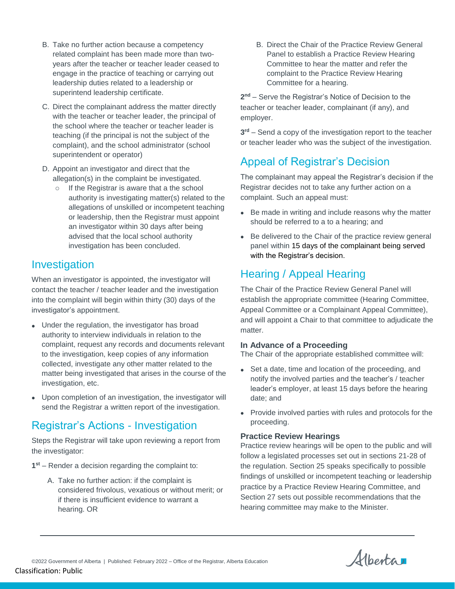- B. Take no further action because a competency related complaint has been made more than twoyears after the teacher or teacher leader ceased to engage in the practice of teaching or carrying out leadership duties related to a leadership or superintend leadership certificate.
- C. Direct the complainant address the matter directly with the teacher or teacher leader, the principal of the school where the teacher or teacher leader is teaching (if the principal is not the subject of the complaint), and the school administrator (school superintendent or operator)
- D. Appoint an investigator and direct that the allegation(s) in the complaint be investigated.
	- o If the Registrar is aware that a the school authority is investigating matter(s) related to the allegations of unskilled or incompetent teaching or leadership, then the Registrar must appoint an investigator within 30 days after being advised that the local school authority investigation has been concluded.

## Investigation

When an investigator is appointed, the investigator will contact the teacher / teacher leader and the investigation into the complaint will begin within thirty (30) days of the investigator's appointment.

- Under the regulation, the investigator has broad authority to interview individuals in relation to the complaint, request any records and documents relevant to the investigation, keep copies of any information collected, investigate any other matter related to the matter being investigated that arises in the course of the investigation, etc.
- Upon completion of an investigation, the investigator will send the Registrar a written report of the investigation.

## Registrar's Actions - Investigation

Steps the Registrar will take upon reviewing a report from the investigator:

- **1 st** Render a decision regarding the complaint to:
	- A. Take no further action: if the complaint is considered frivolous, vexatious or without merit; or if there is insufficient evidence to warrant a hearing. OR

B. Direct the Chair of the Practice Review General Panel to establish a Practice Review Hearing Committee to hear the matter and refer the complaint to the Practice Review Hearing Committee for a hearing.

**2 nd** – Serve the Registrar's Notice of Decision to the teacher or teacher leader, complainant (if any), and employer.

**3 rd** – Send a copy of the investigation report to the teacher or teacher leader who was the subject of the investigation.

# Appeal of Registrar's Decision

The complainant may appeal the Registrar's decision if the Registrar decides not to take any further action on a complaint. Such an appeal must:

- Be made in writing and include reasons why the matter should be referred to a to a hearing; and
- Be delivered to the Chair of the practice review general panel within 15 days of the complainant being served with the Registrar's decision.

# Hearing / Appeal Hearing

The Chair of the Practice Review General Panel will establish the appropriate committee (Hearing Committee, Appeal Committee or a Complainant Appeal Committee), and will appoint a Chair to that committee to adjudicate the matter.

#### **In Advance of a Proceeding**

The Chair of the appropriate established committee will:

- Set a date, time and location of the proceeding, and notify the involved parties and the teacher's / teacher leader's employer, at least 15 days before the hearing date; and
- Provide involved parties with rules and protocols for the proceeding.

#### **Practice Review Hearings**

Practice review hearings will be open to the public and will follow a legislated processes set out in sections 21-28 of the regulation. Section 25 speaks specifically to possible findings of unskilled or incompetent teaching or leadership practice by a Practice Review Hearing Committee, and Section 27 sets out possible recommendations that the hearing committee may make to the Minister.

Alberta